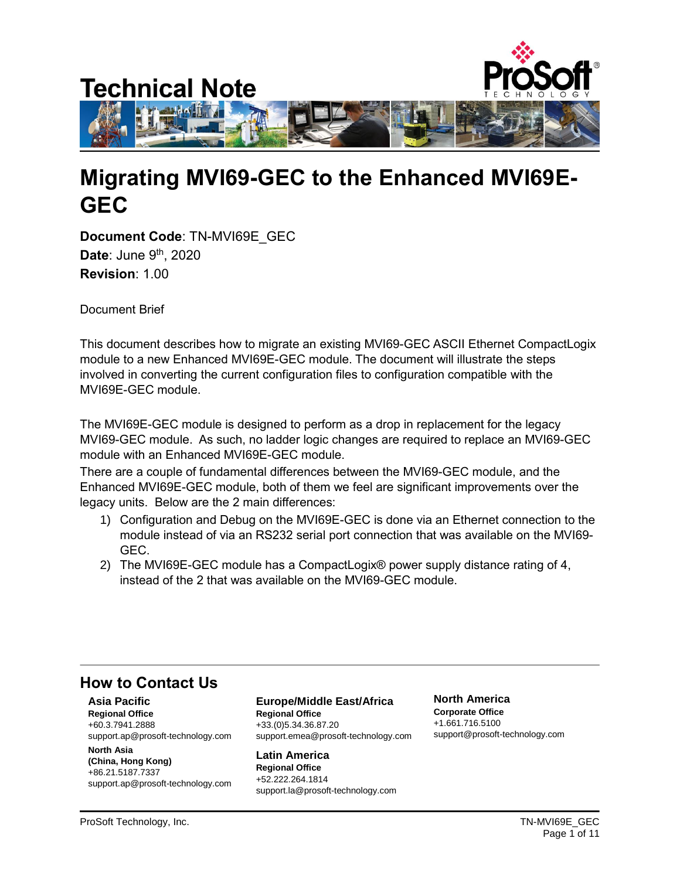

# **Migrating MVI69-GEC to the Enhanced MVI69E-GEC**

**Document Code**: TN-MVI69E\_GEC **Date**: June 9<sup>th</sup>, 2020 **Revision**: 1.00

Document Brief

This document describes how to migrate an existing MVI69-GEC ASCII Ethernet CompactLogix module to a new Enhanced MVI69E-GEC module. The document will illustrate the steps involved in converting the current configuration files to configuration compatible with the MVI69E-GEC module.

The MVI69E-GEC module is designed to perform as a drop in replacement for the legacy MVI69-GEC module. As such, no ladder logic changes are required to replace an MVI69-GEC module with an Enhanced MVI69E-GEC module.

There are a couple of fundamental differences between the MVI69-GEC module, and the Enhanced MVI69E-GEC module, both of them we feel are significant improvements over the legacy units. Below are the 2 main differences:

- 1) Configuration and Debug on the MVI69E-GEC is done via an Ethernet connection to the module instead of via an RS232 serial port connection that was available on the MVI69- GEC.
- 2) The MVI69E-GEC module has a CompactLogix® power supply distance rating of 4, instead of the 2 that was available on the MVI69-GEC module.

## **How to Contact Us**

**Asia Pacific Regional Office** +60.3.7941.2888 support.ap@prosoft-technology.com

**North Asia (China, Hong Kong)** +86.21.5187.7337 support.ap@prosoft-technology.com

#### **Europe/Middle East/Africa Regional Office**

+33.(0)5.34.36.87.20 support.emea@prosoft-technology.com

**Latin America Regional Office** +52.222.264.1814 support.la@prosoft-technology.com **North America Corporate Office** +1.661.716.5100 support@prosoft-technology.com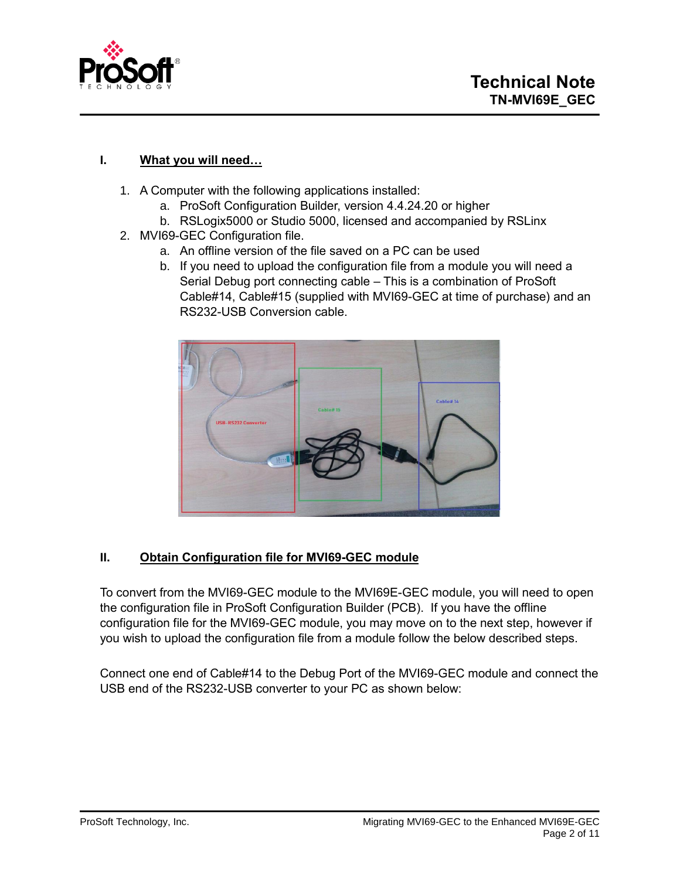

### **I. What you will need…**

- 1. A Computer with the following applications installed:
	- a. ProSoft Configuration Builder, version 4.4.24.20 or higher
	- b. RSLogix5000 or Studio 5000, licensed and accompanied by RSLinx
- 2. MVI69-GEC Configuration file.
	- a. An offline version of the file saved on a PC can be used
	- b. If you need to upload the configuration file from a module you will need a Serial Debug port connecting cable – This is a combination of ProSoft Cable#14, Cable#15 (supplied with MVI69-GEC at time of purchase) and an RS232-USB Conversion cable.



### **II. Obtain Configuration file for MVI69-GEC module**

To convert from the MVI69-GEC module to the MVI69E-GEC module, you will need to open the configuration file in ProSoft Configuration Builder (PCB). If you have the offline configuration file for the MVI69-GEC module, you may move on to the next step, however if you wish to upload the configuration file from a module follow the below described steps.

Connect one end of Cable#14 to the Debug Port of the MVI69-GEC module and connect the USB end of the RS232-USB converter to your PC as shown below: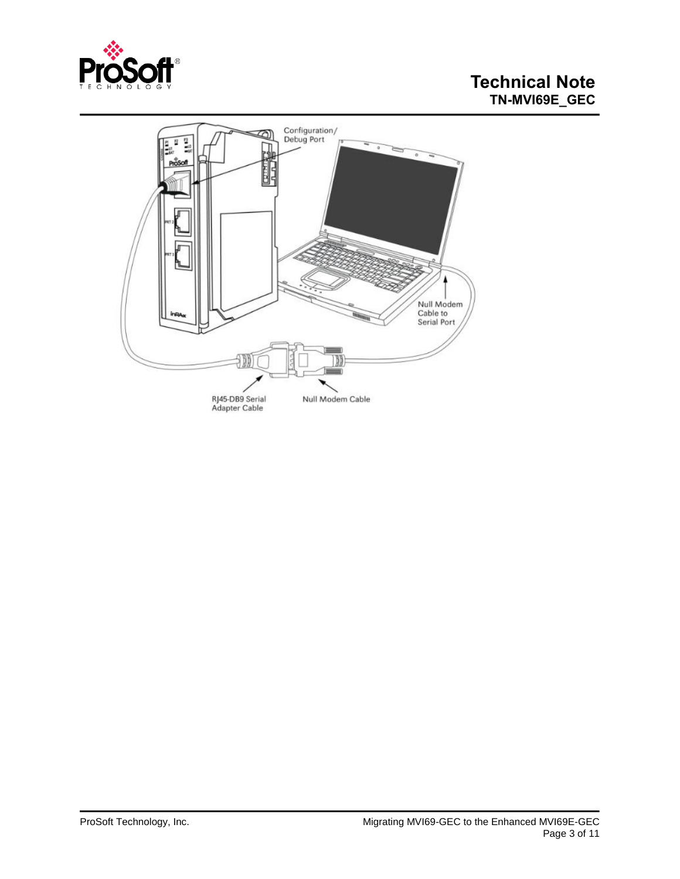

# **Technical Note TN-MVI69E\_GEC**

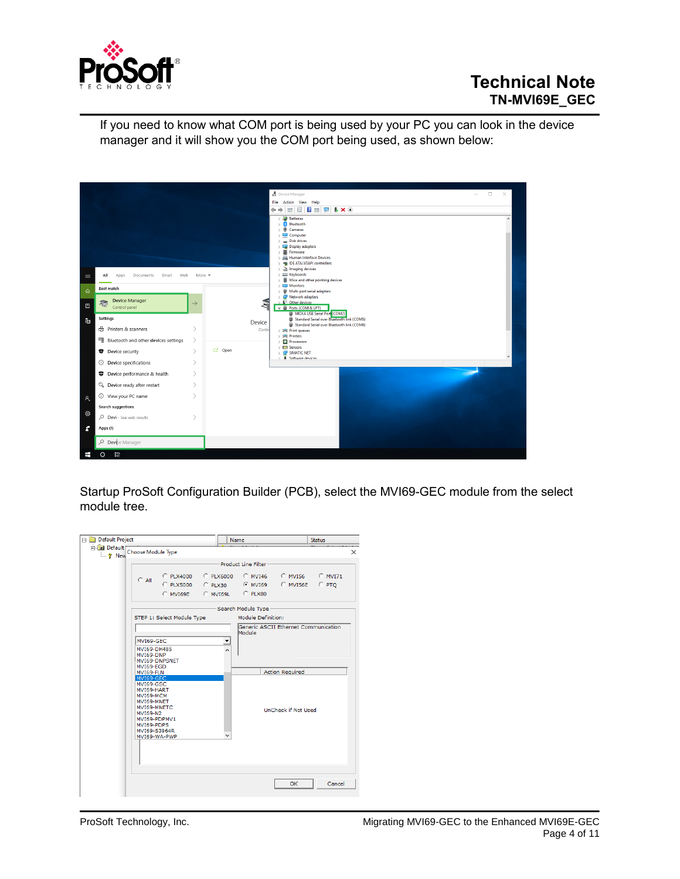

If you need to know what COM port is being used by your PC you can look in the device manager and it will show you the COM port being used, as shown below:



Startup ProSoft Configuration Builder (PCB), select the MVI69-GEC module from the select module tree.

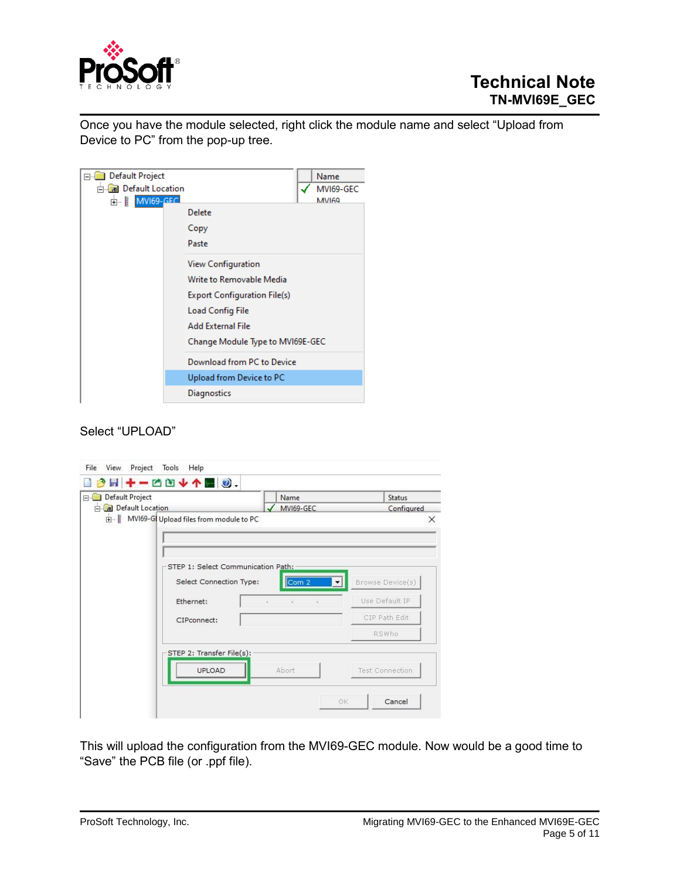

Once you have the module selected, right click the module name and select "Upload from Device to PC" from the pop-up tree.



#### Select "UPLOAD"

| Default Project            |                                         | Name      | Status                           |
|----------------------------|-----------------------------------------|-----------|----------------------------------|
| <b>El Default Location</b> |                                         | MVI69-GEC | Configured                       |
|                            | MVI69-GI Upload files from module to PC |           | $\times$                         |
|                            |                                         |           |                                  |
|                            |                                         |           |                                  |
|                            | STEP 1: Select Communication Path:      |           |                                  |
|                            |                                         |           |                                  |
|                            | Select Connection Type:                 | Com 2     | Browse Device(s)<br>$\mathbf{v}$ |
|                            | Ethernet:                               | ä,        | Use Default IP                   |
|                            | CIPconnect:                             |           | CIP Path Edit                    |
|                            |                                         |           | RSWho                            |
|                            | STEP 2: Transfer File(s):               |           |                                  |
|                            | UPLOAD                                  | Abort     | <b>Test Connection</b>           |
|                            |                                         |           |                                  |

This will upload the configuration from the MVI69-GEC module. Now would be a good time to "Save" the PCB file (or .ppf file).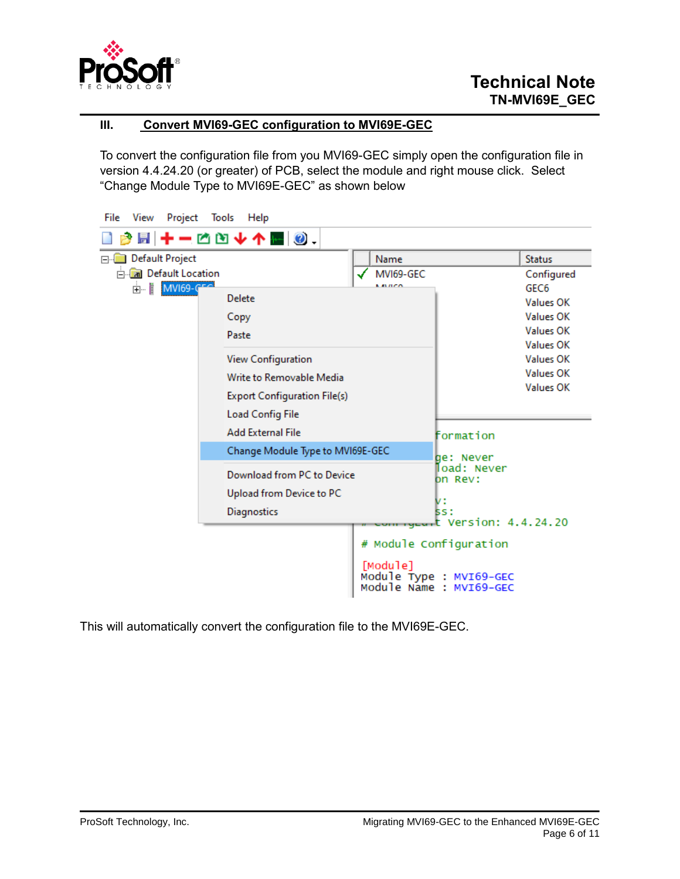

### **III. Convert MVI69-GEC configuration to MVI69E-GEC**

To convert the configuration file from you MVI69-GEC simply open the configuration file in version 4.4.24.20 (or greater) of PCB, select the module and right mouse click. Select "Change Module Type to MVI69E-GEC" as shown below

| File<br>View<br>Project   | Tools<br>Help                                                                       |               |                                                                                       |                                                                                                                     |
|---------------------------|-------------------------------------------------------------------------------------|---------------|---------------------------------------------------------------------------------------|---------------------------------------------------------------------------------------------------------------------|
|                           |                                                                                     |               |                                                                                       |                                                                                                                     |
| Default Project           |                                                                                     | Name          |                                                                                       | <b>Status</b>                                                                                                       |
| <b>E</b> Default Location |                                                                                     | MVI69-GEC     |                                                                                       | Configured                                                                                                          |
| 由 MVI69-CFC               | Delete<br>Copy<br>Paste<br><b>View Configuration</b><br>Write to Removable Media    | <b>KALLEN</b> |                                                                                       | GEC <sub>6</sub><br>Values OK<br><b>Values OK</b><br>Values OK<br>Values OK<br><b>Values OK</b><br><b>Values OK</b> |
|                           | <b>Export Configuration File(s)</b><br>Load Config File<br><b>Add External File</b> |               | formation                                                                             | <b>Values OK</b>                                                                                                    |
|                           | Change Module Type to MVI69E-GEC                                                    |               |                                                                                       |                                                                                                                     |
|                           | Download from PC to Device<br>Upload from Device to PC<br>Diagnostics               |               | de: Never<br>∏oad: Never<br>on Rev:<br>v:<br><b>SS:</b><br>mageart Version: 4.4.24.20 |                                                                                                                     |
|                           |                                                                                     | [Module]      | # Module Configuration<br>Module Type : MVI69-GEC<br>Module Name : MVI69-GEC          |                                                                                                                     |

This will automatically convert the configuration file to the MVI69E-GEC.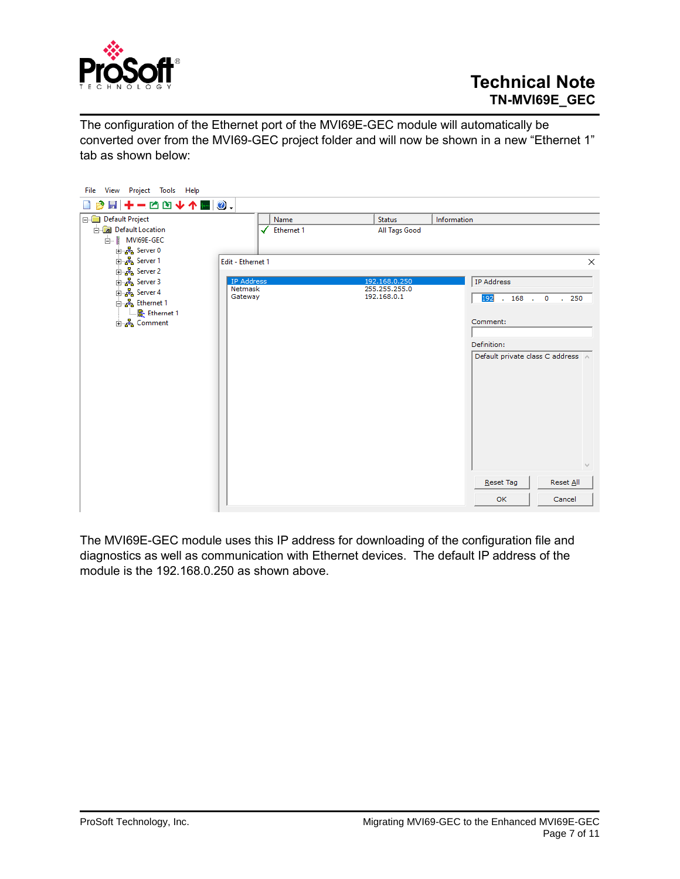

The configuration of the Ethernet port of the MVI69E-GEC module will automatically be converted over from the MVI69-GEC project folder and will now be shown in a new "Ethernet 1" tab as shown below:

| File View Project Tools Help                                        |                         |               |                                   |
|---------------------------------------------------------------------|-------------------------|---------------|-----------------------------------|
| B B + - C D + 1 M 0.                                                |                         |               |                                   |
| Default Project                                                     | Name                    | <b>Status</b> | Information                       |
| <b>En Default Location</b>                                          | $\checkmark$ Ethernet 1 | All Tags Good |                                   |
| 白 MVI69E-GEC                                                        |                         |               |                                   |
| ந்… <mark>ஃ</mark> Server 0                                         |                         |               |                                   |
| <mark>⊕்த</mark> ே Server 1                                         | Edit - Ethernet 1       |               | $\times$                          |
| <mark>⊕ த</mark> ி Server 2<br>$\frac{1}{2}$ $\frac{1}{2}$ Server 3 | <b>IP Address</b>       | 192.168.0.250 | <b>IP Address</b>                 |
| $\frac{1}{2}$ $\frac{1}{2}$ Server 4                                | Netmask                 | 255.255.255.0 |                                   |
| ட்க <mark>&amp;</mark> Ethernet 1                                   | Gateway                 | 192.168.0.1   | 192<br>$.168$ .<br>.250<br>0      |
| 图 Ethernet 1                                                        |                         |               |                                   |
| <u>⊕்க்</u> & Comment                                               |                         |               | Comment:                          |
|                                                                     |                         |               |                                   |
|                                                                     |                         |               | Definition:                       |
|                                                                     |                         |               | Default private class C address A |
|                                                                     |                         |               |                                   |
|                                                                     |                         |               |                                   |
|                                                                     |                         |               |                                   |
|                                                                     |                         |               |                                   |
|                                                                     |                         |               |                                   |
|                                                                     |                         |               |                                   |
|                                                                     |                         |               |                                   |
|                                                                     |                         |               |                                   |
|                                                                     |                         |               |                                   |
|                                                                     |                         |               | Reset All<br>Reset Tag            |
|                                                                     |                         |               | OK<br>Cancel                      |
|                                                                     |                         |               |                                   |

The MVI69E-GEC module uses this IP address for downloading of the configuration file and diagnostics as well as communication with Ethernet devices. The default IP address of the module is the 192.168.0.250 as shown above.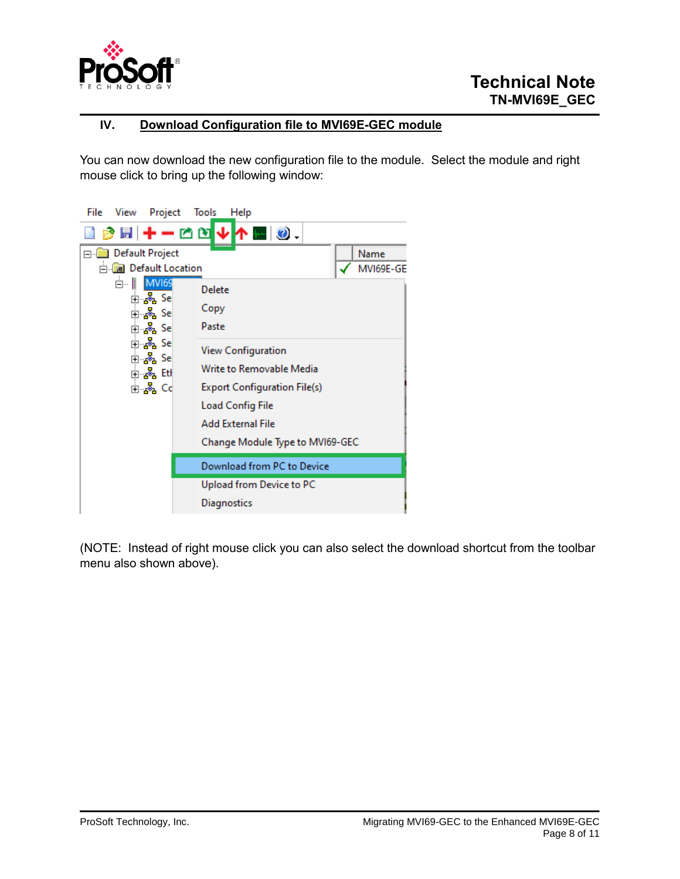

### **IV. Download Configuration file to MVI69E-GEC module**

You can now download the new configuration file to the module. Select the module and right mouse click to bring up the following window:



(NOTE: Instead of right mouse click you can also select the download shortcut from the toolbar menu also shown above).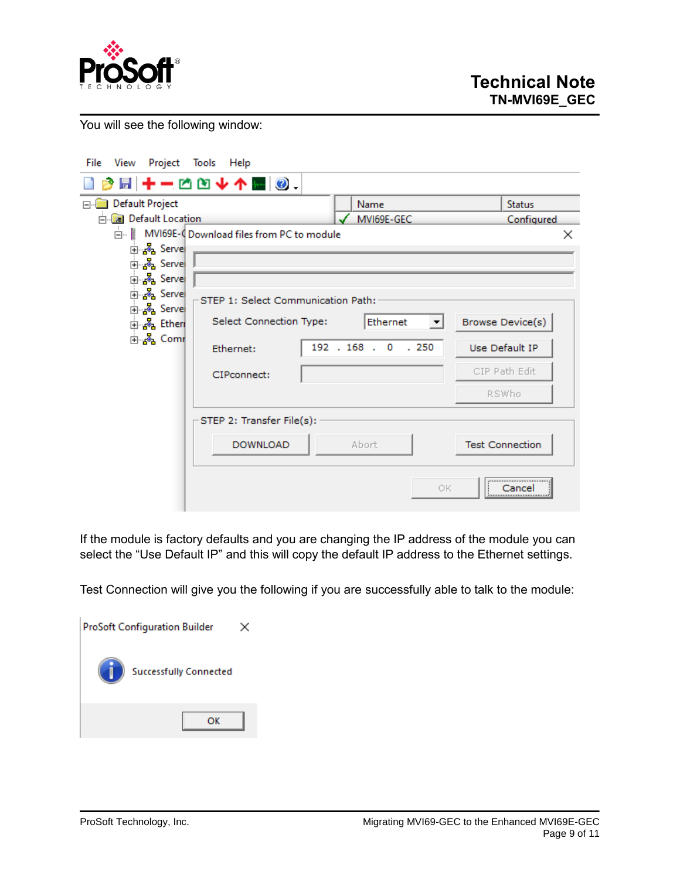

You will see the following window:

| Project Tools<br>File<br>View                                | Help                                                                 |                     |                |  |  |
|--------------------------------------------------------------|----------------------------------------------------------------------|---------------------|----------------|--|--|
|                                                              | B B + - C D + 1 M 0.                                                 |                     |                |  |  |
| Default Project                                              |                                                                      | Name                | <b>Status</b>  |  |  |
| <b>E</b> Default Location                                    |                                                                      | MVI69E-GEC          | Configured     |  |  |
|                                                              | MVI69E-4 Download files from PC to module                            |                     | $\times$       |  |  |
| ட்⊹ஃ <mark>&amp;</mark> Servel                               |                                                                      |                     |                |  |  |
| 由 & Serve                                                    |                                                                      |                     |                |  |  |
| 白 & Servel                                                   |                                                                      |                     |                |  |  |
| ் க <mark>&amp;</mark> Serve<br>் க <mark>&amp;</mark> Serve | STEP 1: Select Communication Path:                                   |                     |                |  |  |
| ந்… <mark>ஃ.</mark> Ethen                                    | Select Connection Type:<br><b>Browse Device(s)</b><br>Ethernet<br>▼∣ |                     |                |  |  |
| ங்… <mark>ஃ</mark> , Comr                                    | Ethernet:                                                            | 192 . 168 . 0 . 250 | Use Default IP |  |  |
|                                                              | CIPconnect:                                                          |                     | CIP Path Edit  |  |  |
|                                                              |                                                                      |                     | <b>RSWho</b>   |  |  |
| STEP 2: Transfer File(s):                                    |                                                                      |                     |                |  |  |
| <b>DOWNLOAD</b><br>Abort<br><b>Test Connection</b>           |                                                                      |                     |                |  |  |
|                                                              |                                                                      | ОΚ                  | <br>Cancel<br> |  |  |

If the module is factory defaults and you are changing the IP address of the module you can select the "Use Default IP" and this will copy the default IP address to the Ethernet settings.

Test Connection will give you the following if you are successfully able to talk to the module:

| <b>ProSoft Configuration Builder</b> |  |  |
|--------------------------------------|--|--|
| <b>Successfully Connected</b>        |  |  |
| oĸ                                   |  |  |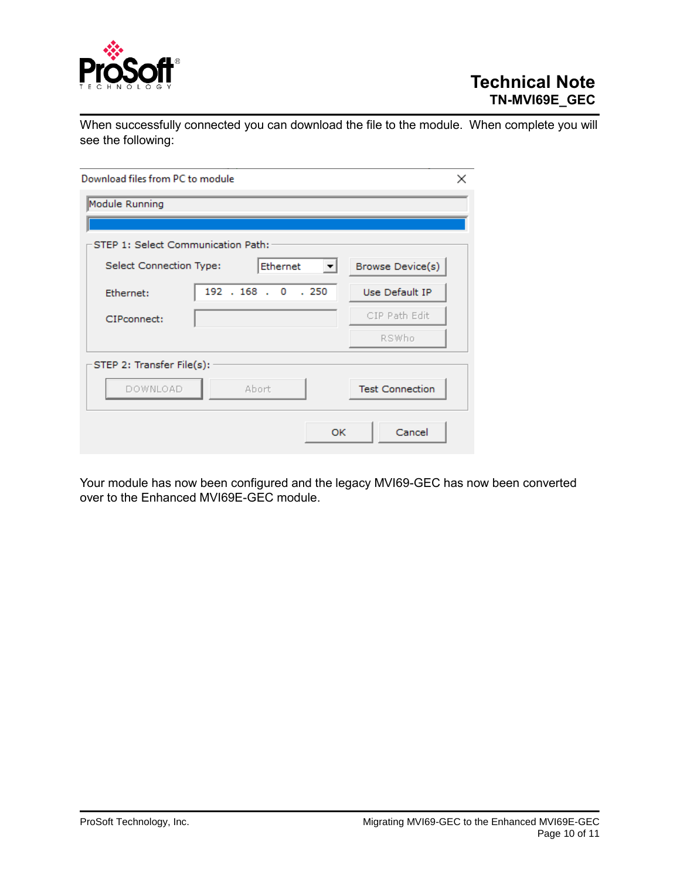

When successfully connected you can download the file to the module. When complete you will see the following:

| Download files from PC to module<br>× |                     |                        |  |  |
|---------------------------------------|---------------------|------------------------|--|--|
| Module Running                        |                     |                        |  |  |
|                                       |                     |                        |  |  |
| STEP 1: Select Communication Path:    |                     |                        |  |  |
| Select Connection Type:               | Ethernet<br>▼       | Browse Device(s)       |  |  |
| Ethernet:                             | 192 . 168 . 0 . 250 | Use Default IP         |  |  |
| CIPconnect:                           |                     | CIP Path Edit          |  |  |
|                                       |                     | RSWho                  |  |  |
| STEP 2: Transfer File(s):             |                     |                        |  |  |
| DOWNLOAD                              | Abort               | <b>Test Connection</b> |  |  |
|                                       | <b>OK</b>           | Cancel                 |  |  |

Your module has now been configured and the legacy MVI69-GEC has now been converted over to the Enhanced MVI69E-GEC module.